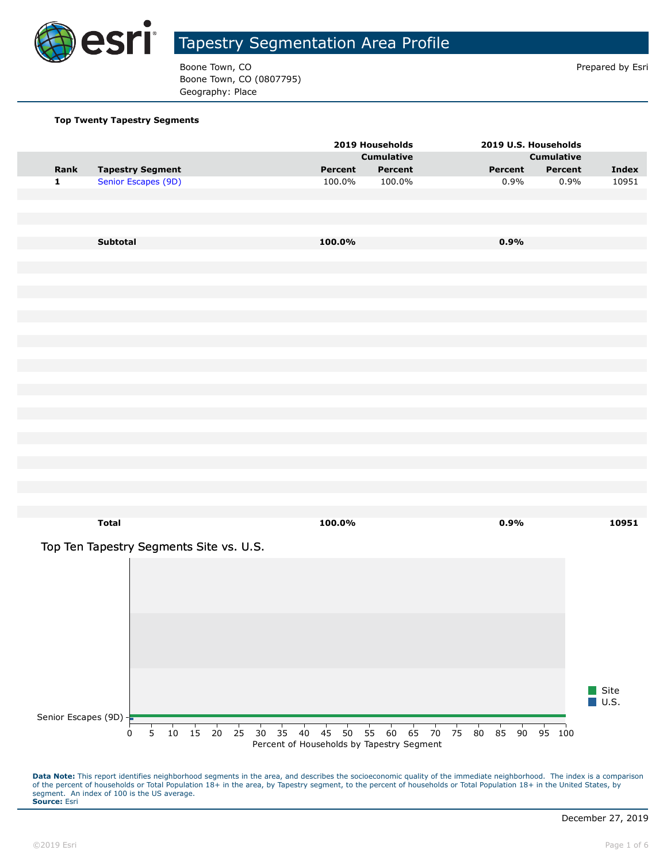

Boone Town, CO **Prepared by Esri** Prepared by Esri Boone Town, CO (0807795) Geography: Place

#### **Top Twenty Tapestry Segments**

|                         |                                         |                     |  |    |    |    |                                           | 2019 Households |                   |    |    |          | 2019 U.S. Households |                   |      |                     |
|-------------------------|-----------------------------------------|---------------------|--|----|----|----|-------------------------------------------|-----------------|-------------------|----|----|----------|----------------------|-------------------|------|---------------------|
|                         |                                         |                     |  |    |    |    |                                           |                 | <b>Cumulative</b> |    |    |          |                      | <b>Cumulative</b> |      |                     |
| Rank                    | <b>Tapestry Segment</b>                 |                     |  |    |    |    | Percent                                   |                 | Percent           |    |    |          | Percent              | Percent           |      | <b>Index</b>        |
| $\mathbf 1$             | Senior Escapes (9D)                     |                     |  |    |    |    | 100.0%                                    |                 | 100.0%            |    |    |          | 0.9%                 |                   | 0.9% | 10951               |
|                         |                                         |                     |  |    |    |    |                                           |                 |                   |    |    |          |                      |                   |      |                     |
|                         |                                         |                     |  |    |    |    |                                           |                 |                   |    |    |          |                      |                   |      |                     |
|                         |                                         |                     |  |    |    |    |                                           |                 |                   |    |    |          |                      |                   |      |                     |
|                         |                                         |                     |  |    |    |    |                                           |                 |                   |    |    |          |                      |                   |      |                     |
|                         | Subtotal                                |                     |  |    |    |    | 100.0%                                    |                 |                   |    |    |          | 0.9%                 |                   |      |                     |
|                         |                                         |                     |  |    |    |    |                                           |                 |                   |    |    |          |                      |                   |      |                     |
|                         |                                         |                     |  |    |    |    |                                           |                 |                   |    |    |          |                      |                   |      |                     |
|                         |                                         |                     |  |    |    |    |                                           |                 |                   |    |    |          |                      |                   |      |                     |
|                         |                                         |                     |  |    |    |    |                                           |                 |                   |    |    |          |                      |                   |      |                     |
|                         |                                         |                     |  |    |    |    |                                           |                 |                   |    |    |          |                      |                   |      |                     |
|                         |                                         |                     |  |    |    |    |                                           |                 |                   |    |    |          |                      |                   |      |                     |
|                         |                                         |                     |  |    |    |    |                                           |                 |                   |    |    |          |                      |                   |      |                     |
|                         |                                         |                     |  |    |    |    |                                           |                 |                   |    |    |          |                      |                   |      |                     |
|                         |                                         |                     |  |    |    |    |                                           |                 |                   |    |    |          |                      |                   |      |                     |
|                         |                                         |                     |  |    |    |    |                                           |                 |                   |    |    |          |                      |                   |      |                     |
|                         |                                         |                     |  |    |    |    |                                           |                 |                   |    |    |          |                      |                   |      |                     |
|                         |                                         |                     |  |    |    |    |                                           |                 |                   |    |    |          |                      |                   |      |                     |
|                         |                                         |                     |  |    |    |    |                                           |                 |                   |    |    |          |                      |                   |      |                     |
|                         |                                         |                     |  |    |    |    |                                           |                 |                   |    |    |          |                      |                   |      |                     |
|                         |                                         |                     |  |    |    |    |                                           |                 |                   |    |    |          |                      |                   |      |                     |
|                         |                                         |                     |  |    |    |    |                                           |                 |                   |    |    |          |                      |                   |      |                     |
|                         |                                         |                     |  |    |    |    |                                           |                 |                   |    |    |          |                      |                   |      |                     |
|                         |                                         |                     |  |    |    |    |                                           |                 |                   |    |    |          |                      |                   |      |                     |
|                         |                                         |                     |  |    |    |    |                                           |                 |                   |    |    |          |                      |                   |      |                     |
|                         |                                         |                     |  |    |    |    |                                           |                 |                   |    |    |          |                      |                   |      |                     |
|                         | <b>Total</b>                            |                     |  |    |    |    | 100.0%                                    |                 |                   |    |    |          | 0.9%                 |                   |      | 10951               |
|                         |                                         |                     |  |    |    |    |                                           |                 |                   |    |    |          |                      |                   |      |                     |
|                         | Top Ten Tapestry Segments Site vs. U.S. |                     |  |    |    |    |                                           |                 |                   |    |    |          |                      |                   |      |                     |
|                         |                                         |                     |  |    |    |    |                                           |                 |                   |    |    |          |                      |                   |      |                     |
|                         |                                         |                     |  |    |    |    |                                           |                 |                   |    |    |          |                      |                   |      |                     |
|                         |                                         |                     |  |    |    |    |                                           |                 |                   |    |    |          |                      |                   |      |                     |
|                         |                                         |                     |  |    |    |    |                                           |                 |                   |    |    |          |                      |                   |      |                     |
|                         |                                         |                     |  |    |    |    |                                           |                 |                   |    |    |          |                      |                   |      |                     |
|                         |                                         |                     |  |    |    |    |                                           |                 |                   |    |    |          |                      |                   |      |                     |
|                         |                                         |                     |  |    |    |    |                                           |                 |                   |    |    |          |                      |                   |      |                     |
|                         |                                         |                     |  |    |    |    |                                           |                 |                   |    |    |          |                      |                   |      |                     |
|                         |                                         |                     |  |    |    |    |                                           |                 |                   |    |    |          |                      |                   |      |                     |
|                         |                                         |                     |  |    |    |    |                                           |                 |                   |    |    |          |                      |                   |      |                     |
|                         |                                         |                     |  |    |    |    |                                           |                 |                   |    |    |          |                      |                   |      | $\blacksquare$ Site |
|                         |                                         |                     |  |    |    |    |                                           |                 |                   |    |    |          |                      |                   |      | $\blacksquare$ U.S. |
| Senior Escapes (9D) $+$ |                                         |                     |  |    |    |    |                                           |                 |                   |    |    |          |                      |                   |      |                     |
|                         | $\overline{5}$<br>0                     | $10 \t15 \t20 \t25$ |  | 30 | 35 | 40 | 45<br>50                                  | 55              | 60                | 65 | 70 | 75<br>80 | 85 90                | 95 100            |      |                     |
|                         |                                         |                     |  |    |    |    | Percent of Households by Tapestry Segment |                 |                   |    |    |          |                      |                   |      |                     |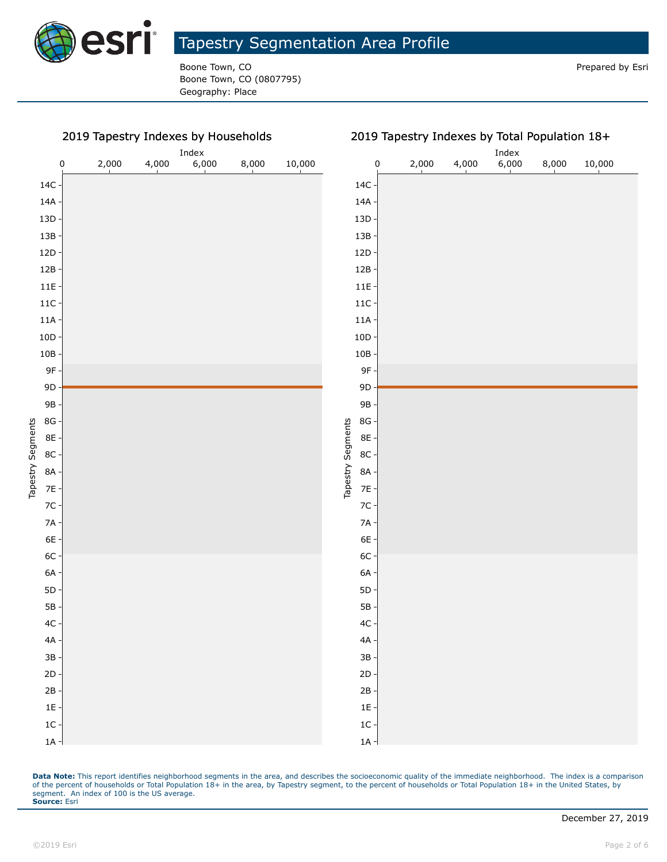

Boone Town, CO **Prepared by Esri** Prepared by Esri Boone Town, CO (0807795) Geography: Place

2019 Tapestry Indexes by Households

#### Index Index 0 2,000 4,000 6,000 8,000 10,000 0 2,000 4,000 6,000 8,000 10,000 14C 14C 14A 14A 13D 13D 13B 13B 12D 12D 12B 12B 11E 11E 11C 11C 11A 11A 10D 10D 10B 10B 9F 9F 9D 9D 9B 9B 8G 8G Tapestry Segments Tapestry Segments Tapestry Segments Tapestry Segments 8E 8E 8C 8C 8A 8A 7E 7E 7C 7C 7A 7A 6E 6E 6C 6C 6A 6A 5D 5D 5B 5B 4C 4C 4A 4A 3B 3B 2D 2D 2B 2B 1E 1E 1C 1C 1A 1A

2019 Tapestry Indexes by Total Population 18+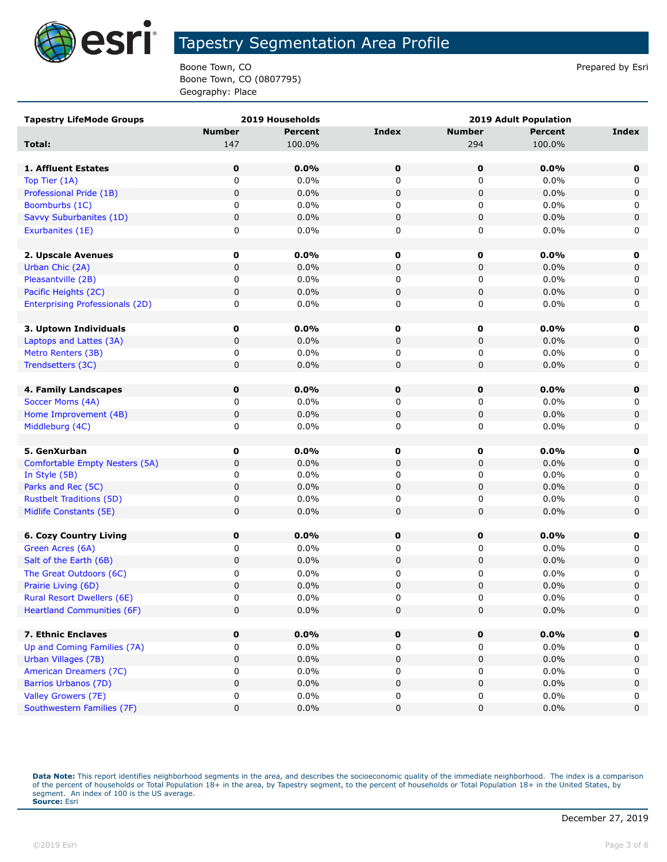

Boone Town, CO **Prepared by Esri** Prepared by Esri Boone Town, CO (0807795) Geography: Place

| <b>Tapestry LifeMode Groups</b>        |               | 2019 Households | <b>2019 Adult Population</b> |               |         |              |  |
|----------------------------------------|---------------|-----------------|------------------------------|---------------|---------|--------------|--|
|                                        | <b>Number</b> | Percent         | <b>Index</b>                 | <b>Number</b> | Percent | <b>Index</b> |  |
| Total:                                 | 147           | 100.0%          |                              | 294           | 100.0%  |              |  |
|                                        |               |                 |                              |               |         |              |  |
| 1. Affluent Estates                    | $\mathbf 0$   | 0.0%            | $\mathbf 0$                  | $\mathbf 0$   | 0.0%    | 0            |  |
| Top Tier (1A)                          | 0             | 0.0%            | 0                            | 0             | 0.0%    | 0            |  |
| Professional Pride (1B)                | 0             | 0.0%            | 0                            | 0             | 0.0%    | $\mathbf 0$  |  |
| Boomburbs (1C)                         | 0             | 0.0%            | 0                            | 0             | $0.0\%$ | 0            |  |
| Savvy Suburbanites (1D)                | 0             | 0.0%            | $\pmb{0}$                    | 0             | 0.0%    | 0            |  |
| Exurbanites (1E)                       | 0             | 0.0%            | 0                            | 0             | 0.0%    | 0            |  |
|                                        |               |                 |                              |               |         |              |  |
| 2. Upscale Avenues                     | $\mathbf 0$   | 0.0%            | 0                            | 0             | 0.0%    | 0            |  |
| Urban Chic (2A)                        | 0             | 0.0%            | 0                            | 0             | 0.0%    | $\mathsf 0$  |  |
| Pleasantville (2B)                     | 0             | 0.0%            | 0                            | 0             | 0.0%    | 0            |  |
| Pacific Heights (2C)                   | 0             | 0.0%            | 0                            | 0             | 0.0%    | $\mathbf 0$  |  |
| <b>Enterprising Professionals (2D)</b> | 0             | 0.0%            | 0                            | 0             | 0.0%    | 0            |  |
|                                        |               |                 |                              |               |         |              |  |
| 3. Uptown Individuals                  | $\mathbf 0$   | 0.0%            | 0                            | 0             | 0.0%    | 0            |  |
| Laptops and Lattes (3A)                | 0             | 0.0%            | 0                            | 0             | 0.0%    | 0            |  |
| Metro Renters (3B)                     | 0             | 0.0%            | 0                            | 0             | 0.0%    | 0            |  |
| Trendsetters (3C)                      | 0             | 0.0%            | 0                            | 0             | 0.0%    | $\mathbf 0$  |  |
|                                        |               |                 |                              |               |         |              |  |
| 4. Family Landscapes                   | 0             | 0.0%            | $\mathbf 0$                  | $\bf{0}$      | 0.0%    | 0            |  |
| Soccer Moms (4A)                       | 0             | 0.0%            | 0                            | 0             | 0.0%    | 0            |  |
| Home Improvement (4B)                  | 0             | 0.0%            | 0                            | 0             | 0.0%    | $\mathsf 0$  |  |
| Middleburg (4C)                        | 0             | 0.0%            | 0                            | 0             | 0.0%    | 0            |  |
|                                        |               |                 |                              |               |         |              |  |
| 5. GenXurban                           | $\mathbf 0$   | 0.0%            | 0                            | $\mathbf 0$   | 0.0%    | 0            |  |
| Comfortable Empty Nesters (5A)         | 0             | 0.0%            | 0                            | 0             | 0.0%    | $\mathsf 0$  |  |
| In Style (5B)                          | 0             | 0.0%            | 0                            | 0             | 0.0%    | 0            |  |
| Parks and Rec (5C)                     | 0             | 0.0%            | 0                            | 0             | 0.0%    | $\mathbf 0$  |  |
| <b>Rustbelt Traditions (5D)</b>        | 0             | 0.0%            | 0                            | 0             | $0.0\%$ | 0            |  |
| Midlife Constants (5E)                 | 0             | 0.0%            | 0                            | 0             | 0.0%    | $\mathbf 0$  |  |
|                                        |               |                 |                              |               |         |              |  |
| <b>6. Cozy Country Living</b>          | 0             | 0.0%            | 0                            | 0             | 0.0%    | 0            |  |
| Green Acres (6A)                       | 0             | 0.0%            | 0                            | 0             | 0.0%    | 0            |  |
| Salt of the Earth (6B)                 | 0             | 0.0%            | 0                            | 0             | 0.0%    | $\mathbf 0$  |  |
| The Great Outdoors (6C)                | 0             | 0.0%            | 0                            | 0             | 0.0%    | 0            |  |
| Prairie Living (6D)                    | 0             | 0.0%            | 0                            | 0             | 0.0%    | 0            |  |
| <b>Rural Resort Dwellers (6E)</b>      | U             | 0.0%            | 0                            | 0             | 0.0%    | $\Omega$     |  |
| <b>Heartland Communities (6F)</b>      | 0             | 0.0%            | 0                            | 0             | 0.0%    | $\mathbf 0$  |  |
|                                        |               |                 |                              |               |         |              |  |
| 7. Ethnic Enclaves                     | 0             | 0.0%            | 0                            | 0             | 0.0%    | 0            |  |
| Up and Coming Families (7A)            | 0             | 0.0%            | 0                            | 0             | $0.0\%$ | 0            |  |
| Urban Villages (7B)                    | 0             | 0.0%            | 0                            | 0             | 0.0%    | $\mathbf 0$  |  |
| American Dreamers (7C)                 | 0             | 0.0%            | 0                            | 0             | 0.0%    | 0            |  |
| Barrios Urbanos (7D)                   | 0             | 0.0%            | 0                            | 0             | 0.0%    | $\mathbf 0$  |  |
| Valley Growers (7E)                    | 0             | 0.0%            | 0                            | 0             | 0.0%    | 0            |  |
| Southwestern Families (7F)             | 0             | 0.0%            | $\pmb{0}$                    | 0             | 0.0%    | $\mathbf 0$  |  |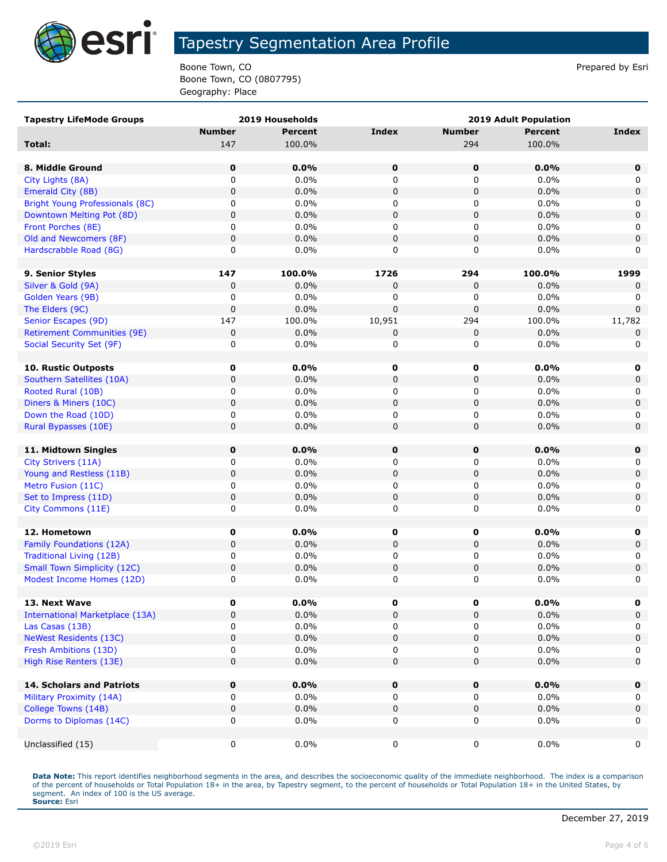

Boone Town, CO **Prepared by Esri** Prepared by Esri Boone Town, CO (0807795) Geography: Place

| <b>Tapestry LifeMode Groups</b>        |               | 2019 Households |              | <b>2019 Adult Population</b> |                |              |  |  |  |
|----------------------------------------|---------------|-----------------|--------------|------------------------------|----------------|--------------|--|--|--|
|                                        | <b>Number</b> | Percent         | <b>Index</b> | <b>Number</b>                | <b>Percent</b> | <b>Index</b> |  |  |  |
| Total:                                 | 147           | 100.0%          |              | 294                          | 100.0%         |              |  |  |  |
|                                        |               |                 |              |                              |                |              |  |  |  |
| 8. Middle Ground                       | $\mathbf 0$   | 0.0%            | $\pmb{0}$    | $\mathbf 0$                  | 0.0%           | 0            |  |  |  |
| City Lights (8A)                       | 0             | 0.0%            | 0            | 0                            | 0.0%           | 0            |  |  |  |
| Emerald City (8B)                      | 0             | 0.0%            | $\mathbf 0$  | 0                            | 0.0%           | $\mathbf 0$  |  |  |  |
| Bright Young Professionals (8C)        | 0             | 0.0%            | 0            | 0                            | 0.0%           | 0            |  |  |  |
| Downtown Melting Pot (8D)              | 0             | 0.0%            | 0            | 0                            | 0.0%           | $\mathbf 0$  |  |  |  |
| Front Porches (8E)                     | 0             | 0.0%            | 0            | 0                            | 0.0%           | 0            |  |  |  |
| Old and Newcomers (8F)                 | 0             | 0.0%            | $\mathbf 0$  | 0                            | 0.0%           | $\mathbf 0$  |  |  |  |
| Hardscrabble Road (8G)                 | 0             | $0.0\%$         | $\mathbf 0$  | 0                            | $0.0\%$        | 0            |  |  |  |
|                                        |               |                 |              |                              |                |              |  |  |  |
| 9. Senior Styles                       | 147           | 100.0%          | 1726         | 294                          | 100.0%         | 1999         |  |  |  |
| Silver & Gold (9A)                     | 0             | 0.0%            | 0            | 0                            | 0.0%           | 0            |  |  |  |
| Golden Years (9B)                      | 0             | 0.0%            | 0            | 0                            | 0.0%           | 0            |  |  |  |
| The Elders (9C)                        | 0             | 0.0%            | $\mathbf 0$  | $\mathbf 0$                  | 0.0%           | $\mathbf 0$  |  |  |  |
| Senior Escapes (9D)                    | 147           | 100.0%          | 10,951       | 294                          | 100.0%         | 11,782       |  |  |  |
| <b>Retirement Communities (9E)</b>     | 0             | 0.0%            | 0            | 0                            | 0.0%           | 0            |  |  |  |
| Social Security Set (9F)               | 0             | 0.0%            | 0            | 0                            | 0.0%           | 0            |  |  |  |
|                                        |               |                 |              |                              |                |              |  |  |  |
| <b>10. Rustic Outposts</b>             | 0             | $0.0\%$         | 0            | 0                            | 0.0%           | 0            |  |  |  |
| Southern Satellites (10A)              | $\mathbf 0$   | 0.0%            | $\mathbf 0$  | $\mathbf 0$                  | 0.0%           | $\mathbf 0$  |  |  |  |
| Rooted Rural (10B)                     | 0             | 0.0%            | 0            | 0                            | 0.0%           | 0            |  |  |  |
| Diners & Miners (10C)                  | 0             | 0.0%            | 0            | 0                            | 0.0%           | $\mathsf 0$  |  |  |  |
| Down the Road (10D)                    | 0             | $0.0\%$         | 0            | 0                            | 0.0%           | 0            |  |  |  |
| Rural Bypasses (10E)                   | $\mathbf 0$   | 0.0%            | $\mathbf 0$  | 0                            | 0.0%           | $\mathbf 0$  |  |  |  |
|                                        |               |                 |              |                              |                |              |  |  |  |
| 11. Midtown Singles                    | 0             | 0.0%            | 0            | $\mathbf 0$                  | 0.0%           | 0            |  |  |  |
| City Strivers (11A)                    | 0             | 0.0%            | 0            | 0                            | 0.0%           | 0            |  |  |  |
| Young and Restless (11B)               | 0             | 0.0%            | $\mathbf 0$  | 0                            | 0.0%           | $\mathbf 0$  |  |  |  |
| Metro Fusion (11C)                     | 0             | $0.0\%$         | 0            | 0                            | 0.0%           | 0            |  |  |  |
| Set to Impress (11D)                   | 0             | 0.0%            | 0            | 0                            | 0.0%           | $\mathbf 0$  |  |  |  |
| City Commons (11E)                     | 0             | 0.0%            | 0            | 0                            | 0.0%           | 0            |  |  |  |
|                                        |               |                 |              |                              |                |              |  |  |  |
| 12. Hometown                           | 0             | 0.0%            | 0            | 0                            | 0.0%           | 0            |  |  |  |
| Family Foundations (12A)               | 0             | 0.0%            | $\mathbf 0$  | 0                            | 0.0%           | $\mathsf 0$  |  |  |  |
| Traditional Living (12B)               | 0             | 0.0%            | 0            | 0                            | 0.0%           | 0            |  |  |  |
| <b>Small Town Simplicity (12C)</b>     | 0             | 0.0%            | 0            | 0                            | 0.0%           | 0            |  |  |  |
| Modest Income Homes (12D)              | 0             | 0.0%            | 0            | 0                            | 0.0%           | 0            |  |  |  |
|                                        |               |                 |              |                              |                |              |  |  |  |
| 13. Next Wave                          | 0             | $0.0\%$         | 0            | 0                            | 0.0%           | 0            |  |  |  |
| <b>International Marketplace (13A)</b> | 0             | 0.0%            | $\mathbf 0$  | 0                            | 0.0%           | $\mathbf 0$  |  |  |  |
| Las Casas (13B)                        | 0             | $0.0\%$         | 0            | 0                            | $0.0\%$        | 0            |  |  |  |
| <b>NeWest Residents (13C)</b>          | 0             | 0.0%            | 0            | 0                            | 0.0%           | 0            |  |  |  |
| Fresh Ambitions (13D)                  | 0             | $0.0\%$         | 0            | 0                            | 0.0%           | 0            |  |  |  |
| High Rise Renters (13E)                | 0             | 0.0%            | 0            | 0                            | 0.0%           | $\mathbf 0$  |  |  |  |
| 14. Scholars and Patriots              | 0             | 0.0%            | 0            | 0                            | 0.0%           | $\mathbf 0$  |  |  |  |
| Military Proximity (14A)               | 0             | $0.0\%$         | 0            | 0                            | 0.0%           | 0            |  |  |  |
| College Towns (14B)                    | 0             | 0.0%            | 0            | 0                            | 0.0%           | $\mathbf 0$  |  |  |  |
| Dorms to Diplomas (14C)                | 0             | 0.0%            | 0            | 0                            | 0.0%           | 0            |  |  |  |
|                                        |               |                 |              |                              |                |              |  |  |  |
| Unclassified (15)                      | 0             | $0.0\%$         | 0            | 0                            | $0.0\%$        | 0            |  |  |  |
|                                        |               |                 |              |                              |                |              |  |  |  |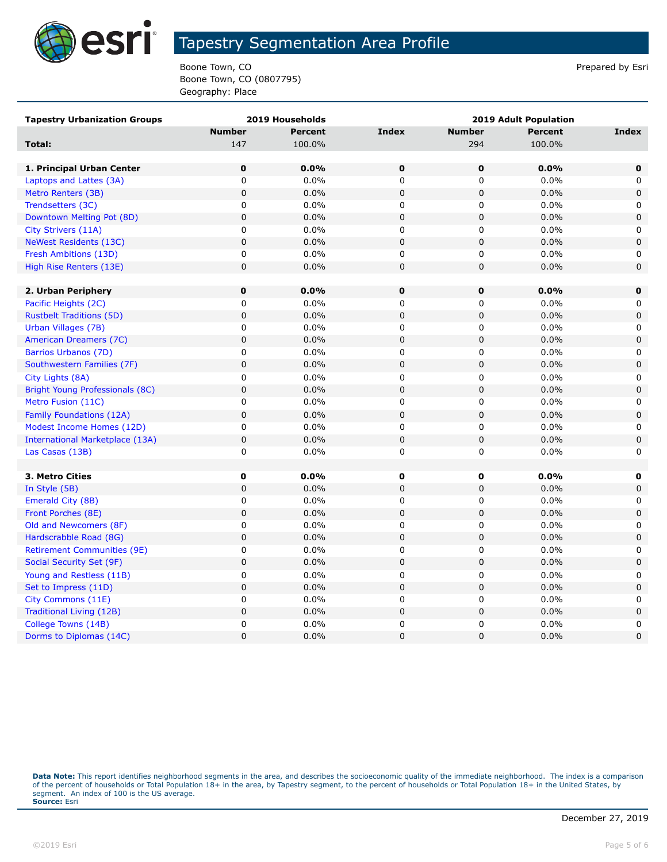

Boone Town, CO **Prepared by Esri** Prepared by Esri Boone Town, CO (0807795) Geography: Place

| <b>Tapestry Urbanization Groups</b>    |               | 2019 Households | <b>2019 Adult Population</b> |               |                |              |  |  |
|----------------------------------------|---------------|-----------------|------------------------------|---------------|----------------|--------------|--|--|
|                                        | <b>Number</b> | <b>Percent</b>  | <b>Index</b>                 | <b>Number</b> | <b>Percent</b> | <b>Index</b> |  |  |
| Total:                                 | 147           | 100.0%          |                              | 294           | 100.0%         |              |  |  |
|                                        |               |                 |                              |               |                |              |  |  |
| 1. Principal Urban Center              | $\mathbf 0$   | 0.0%            | $\mathbf 0$                  | $\mathbf 0$   | 0.0%           | $\mathbf 0$  |  |  |
| Laptops and Lattes (3A)                | 0             | 0.0%            | 0                            | 0             | 0.0%           | 0            |  |  |
| Metro Renters (3B)                     | $\mathsf 0$   | 0.0%            | 0                            | $\mathsf 0$   | 0.0%           | 0            |  |  |
| Trendsetters (3C)                      | 0             | 0.0%            | $\mathbf 0$                  | 0             | 0.0%           | 0            |  |  |
| Downtown Melting Pot (8D)              | 0             | 0.0%            | 0                            | 0             | 0.0%           | $\mathbf 0$  |  |  |
| City Strivers (11A)                    | 0             | 0.0%            | 0                            | 0             | 0.0%           | 0            |  |  |
| <b>NeWest Residents (13C)</b>          | 0             | 0.0%            | 0                            | 0             | 0.0%           | $\mathbf 0$  |  |  |
| Fresh Ambitions (13D)                  | 0             | 0.0%            | 0                            | 0             | 0.0%           | 0            |  |  |
| High Rise Renters (13E)                | $\pmb{0}$     | 0.0%            | $\pmb{0}$                    | 0             | 0.0%           | $\pmb{0}$    |  |  |
|                                        |               |                 |                              |               |                |              |  |  |
| 2. Urban Periphery                     | $\pmb{0}$     | 0.0%            | $\mathbf 0$                  | $\bf{0}$      | 0.0%           | $\mathbf 0$  |  |  |
| Pacific Heights (2C)                   | 0             | 0.0%            | 0                            | 0             | 0.0%           | 0            |  |  |
| <b>Rustbelt Traditions (5D)</b>        | 0             | 0.0%            | 0                            | 0             | 0.0%           | $\mathbf 0$  |  |  |
| Urban Villages (7B)                    | 0             | 0.0%            | 0                            | 0             | 0.0%           | 0            |  |  |
| American Dreamers (7C)                 | 0             | 0.0%            | $\mathbf 0$                  | 0             | 0.0%           | $\mathbf 0$  |  |  |
| Barrios Urbanos (7D)                   | 0             | 0.0%            | 0                            | 0             | 0.0%           | 0            |  |  |
| Southwestern Families (7F)             | $\mathsf 0$   | 0.0%            | $\mathsf 0$                  | 0             | 0.0%           | 0            |  |  |
| City Lights (8A)                       | 0             | 0.0%            | 0                            | 0             | 0.0%           | 0            |  |  |
| Bright Young Professionals (8C)        | $\mathsf 0$   | 0.0%            | $\overline{0}$               | 0             | 0.0%           | $\mathbf 0$  |  |  |
| Metro Fusion (11C)                     | 0             | 0.0%            | 0                            | 0             | 0.0%           | 0            |  |  |
| Family Foundations (12A)               | $\mathsf 0$   | 0.0%            | $\pmb{0}$                    | 0             | 0.0%           | $\pmb{0}$    |  |  |
| Modest Income Homes (12D)              | 0             | 0.0%            | 0                            | 0             | 0.0%           | 0            |  |  |
| <b>International Marketplace (13A)</b> | $\mathsf 0$   | 0.0%            | $\mathsf 0$                  | 0             | 0.0%           | $\mathbf 0$  |  |  |
| Las Casas (13B)                        | 0             | 0.0%            | 0                            | 0             | 0.0%           | 0            |  |  |
|                                        |               |                 |                              |               |                |              |  |  |
| 3. Metro Cities                        | 0             | 0.0%            | $\mathbf 0$                  | $\mathbf 0$   | 0.0%           | $\mathbf 0$  |  |  |
| In Style (5B)                          | 0             | 0.0%            | 0                            | 0             | 0.0%           | $\mathbf 0$  |  |  |
| Emerald City (8B)                      | 0             | 0.0%            | 0                            | 0             | 0.0%           | 0            |  |  |
| Front Porches (8E)                     | 0             | 0.0%            | 0                            | 0             | 0.0%           | 0            |  |  |
| Old and Newcomers (8F)                 | 0             | 0.0%            | 0                            | 0             | 0.0%           | 0            |  |  |
| Hardscrabble Road (8G)                 | $\pmb{0}$     | 0.0%            | $\mathsf 0$                  | 0             | 0.0%           | 0            |  |  |
| <b>Retirement Communities (9E)</b>     | 0             | 0.0%            | 0                            | 0             | 0.0%           | 0            |  |  |
| Social Security Set (9F)               | $\mathsf 0$   | 0.0%            | 0                            | 0             | 0.0%           | 0            |  |  |
| Young and Restless (11B)               | 0             | 0.0%            | 0                            | 0             | 0.0%           | 0            |  |  |
| Set to Impress (11D)                   | $\pmb{0}$     | 0.0%            | $\pmb{0}$                    | 0             | 0.0%           | 0            |  |  |
| City Commons (11E)                     | 0             | 0.0%            | 0                            | 0             | 0.0%           | 0            |  |  |
| Traditional Living (12B)               | 0             | 0.0%            | 0                            | 0             | 0.0%           | 0            |  |  |
| College Towns (14B)                    | 0             | 0.0%            | 0                            | 0             | 0.0%           | 0            |  |  |
| Dorms to Diplomas (14C)                | 0             | 0.0%            | $\mathbf 0$                  | 0             | 0.0%           | $\mathbf 0$  |  |  |